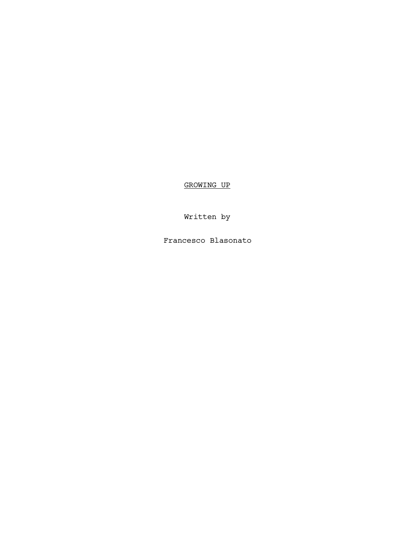GROWING UP

Written by

Francesco Blasonato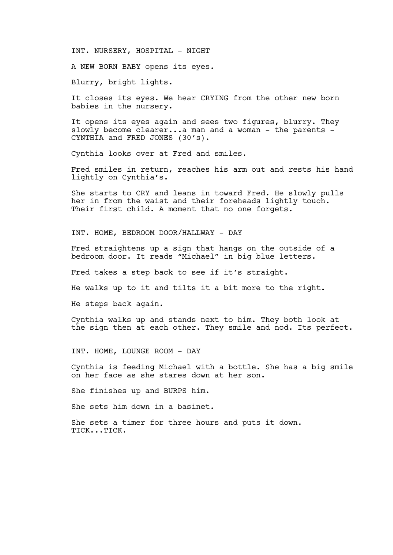INT. NURSERY, HOSPITAL - NIGHT

A NEW BORN BABY opens its eyes.

Blurry, bright lights.

It closes its eyes. We hear CRYING from the other new born babies in the nursery.

It opens its eyes again and sees two figures, blurry. They slowly become clearer...a man and a woman - the parents -CYNTHIA and FRED JONES (30's).

Cynthia looks over at Fred and smiles.

Fred smiles in return, reaches his arm out and rests his hand lightly on Cynthia's.

She starts to CRY and leans in toward Fred. He slowly pulls her in from the waist and their foreheads lightly touch. Their first child. A moment that no one forgets.

INT. HOME, BEDROOM DOOR/HALLWAY - DAY

Fred straightens up a sign that hangs on the outside of a bedroom door. It reads "Michael" in big blue letters.

Fred takes a step back to see if it's straight.

He walks up to it and tilts it a bit more to the right.

He steps back again.

Cynthia walks up and stands next to him. They both look at the sign then at each other. They smile and nod. Its perfect.

INT. HOME, LOUNGE ROOM - DAY

Cynthia is feeding Michael with a bottle. She has a big smile on her face as she stares down at her son.

She finishes up and BURPS him.

She sets him down in a basinet.

She sets a timer for three hours and puts it down. TICK...TICK.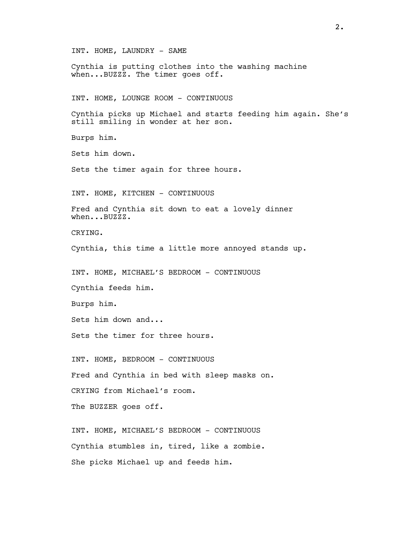INT. HOME, LAUNDRY - SAME Cynthia is putting clothes into the washing machine when...BUZZZ. The timer goes off. INT. HOME, LOUNGE ROOM - CONTINUOUS Cynthia picks up Michael and starts feeding him again. She's still smiling in wonder at her son. Burps him. Sets him down. Sets the timer again for three hours. INT. HOME, KITCHEN - CONTINUOUS Fred and Cynthia sit down to eat a lovely dinner when...BUZZZ. CRYING. Cynthia, this time a little more annoyed stands up. INT. HOME, MICHAEL'S BEDROOM - CONTINUOUS Cynthia feeds him. Burps him. Sets him down and... Sets the timer for three hours. INT. HOME, BEDROOM - CONTINUOUS Fred and Cynthia in bed with sleep masks on. CRYING from Michael's room. The BUZZER goes off. INT. HOME, MICHAEL'S BEDROOM - CONTINUOUS Cynthia stumbles in, tired, like a zombie. She picks Michael up and feeds him.

2.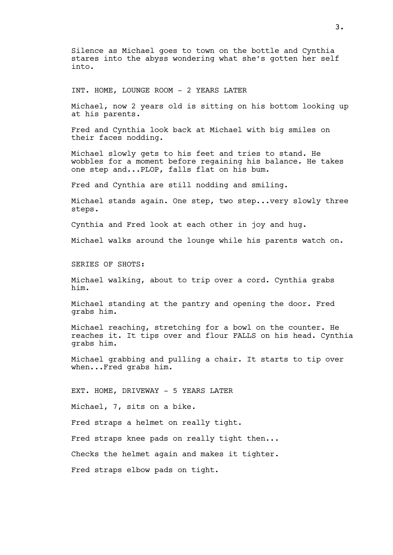Silence as Michael goes to town on the bottle and Cynthia stares into the abyss wondering what she's gotten her self into.

INT. HOME, LOUNGE ROOM - 2 YEARS LATER

Michael, now 2 years old is sitting on his bottom looking up at his parents.

Fred and Cynthia look back at Michael with big smiles on their faces nodding.

Michael slowly gets to his feet and tries to stand. He wobbles for a moment before regaining his balance. He takes one step and...PLOP, falls flat on his bum.

Fred and Cynthia are still nodding and smiling.

Michael stands again. One step, two step...very slowly three steps.

Cynthia and Fred look at each other in joy and hug.

Michael walks around the lounge while his parents watch on.

SERIES OF SHOTS:

Michael walking, about to trip over a cord. Cynthia grabs him.

Michael standing at the pantry and opening the door. Fred grabs him.

Michael reaching, stretching for a bowl on the counter. He reaches it. It tips over and flour FALLS on his head. Cynthia grabs him.

Michael grabbing and pulling a chair. It starts to tip over when...Fred grabs him.

EXT. HOME, DRIVEWAY - 5 YEARS LATER Michael, 7, sits on a bike. Fred straps a helmet on really tight. Fred straps knee pads on really tight then... Checks the helmet again and makes it tighter. Fred straps elbow pads on tight.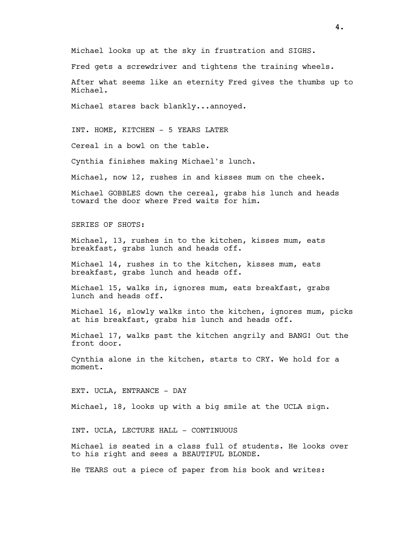Michael looks up at the sky in frustration and SIGHS.

Fred gets a screwdriver and tightens the training wheels.

After what seems like an eternity Fred gives the thumbs up to Michael.

Michael stares back blankly...annoyed.

INT. HOME, KITCHEN - 5 YEARS LATER

Cereal in a bowl on the table.

Cynthia finishes making Michael's lunch.

Michael, now 12, rushes in and kisses mum on the cheek.

Michael GOBBLES down the cereal, grabs his lunch and heads toward the door where Fred waits for him.

SERIES OF SHOTS:

Michael, 13, rushes in to the kitchen, kisses mum, eats breakfast, grabs lunch and heads off.

Michael 14, rushes in to the kitchen, kisses mum, eats breakfast, grabs lunch and heads off.

Michael 15, walks in, ignores mum, eats breakfast, grabs lunch and heads off.

Michael 16, slowly walks into the kitchen, ignores mum, picks at his breakfast, grabs his lunch and heads off.

Michael 17, walks past the kitchen angrily and BANG! Out the front door.

Cynthia alone in the kitchen, starts to CRY. We hold for a moment.

EXT. UCLA, ENTRANCE - DAY

Michael, 18, looks up with a big smile at the UCLA sign.

INT. UCLA, LECTURE HALL - CONTINUOUS

Michael is seated in a class full of students. He looks over to his right and sees a BEAUTIFUL BLONDE.

He TEARS out a piece of paper from his book and writes: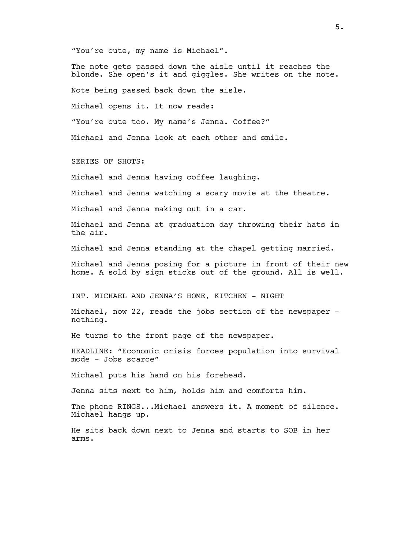"You're cute, my name is Michael".

The note gets passed down the aisle until it reaches the blonde. She open's it and giggles. She writes on the note. Note being passed back down the aisle. Michael opens it. It now reads: "You're cute too. My name's Jenna. Coffee?" Michael and Jenna look at each other and smile. SERIES OF SHOTS: Michael and Jenna having coffee laughing. Michael and Jenna watching a scary movie at the theatre. Michael and Jenna making out in a car. Michael and Jenna at graduation day throwing their hats in the air. Michael and Jenna standing at the chapel getting married. Michael and Jenna posing for a picture in front of their new home. A sold by sign sticks out of the ground. All is well. INT. MICHAEL AND JENNA'S HOME, KITCHEN - NIGHT Michael, now 22, reads the jobs section of the newspaper nothing. He turns to the front page of the newspaper. HEADLINE: "Economic crisis forces population into survival mode - Jobs scarce" Michael puts his hand on his forehead. Jenna sits next to him, holds him and comforts him. The phone RINGS...Michael answers it. A moment of silence. Michael hangs up.

He sits back down next to Jenna and starts to SOB in her arms.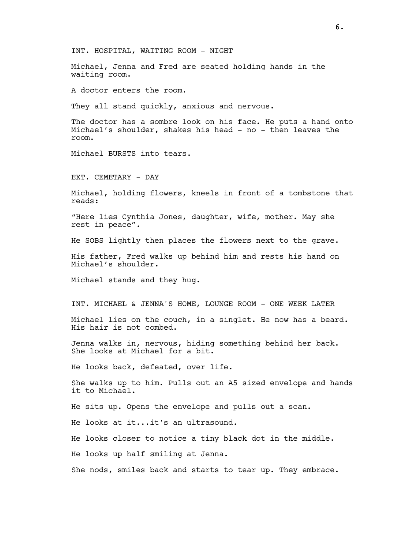INT. HOSPITAL, WAITING ROOM - NIGHT

Michael, Jenna and Fred are seated holding hands in the waiting room.

A doctor enters the room.

They all stand quickly, anxious and nervous.

The doctor has a sombre look on his face. He puts a hand onto Michael's shoulder, shakes his head - no - then leaves the room.

Michael BURSTS into tears.

EXT. CEMETARY - DAY

Michael, holding flowers, kneels in front of a tombstone that reads:

"Here lies Cynthia Jones, daughter, wife, mother. May she rest in peace".

He SOBS lightly then places the flowers next to the grave.

His father, Fred walks up behind him and rests his hand on Michael's shoulder.

Michael stands and they hug.

INT. MICHAEL & JENNA'S HOME, LOUNGE ROOM - ONE WEEK LATER

Michael lies on the couch, in a singlet. He now has a beard. His hair is not combed.

Jenna walks in, nervous, hiding something behind her back. She looks at Michael for a bit.

He looks back, defeated, over life.

She walks up to him. Pulls out an A5 sized envelope and hands it to Michael.

He sits up. Opens the envelope and pulls out a scan.

He looks at it...it's an ultrasound.

He looks closer to notice a tiny black dot in the middle.

He looks up half smiling at Jenna.

She nods, smiles back and starts to tear up. They embrace.